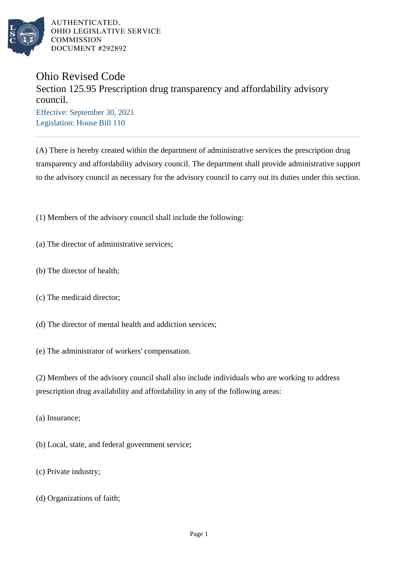

AUTHENTICATED. OHIO LEGISLATIVE SERVICE COMMISSION DOCUMENT #292892

## Ohio Revised Code

## Section 125.95 Prescription drug transparency and affordability advisory council.

Effective: September 30, 2021 Legislation: House Bill 110

(A) There is hereby created within the department of administrative services the prescription drug transparency and affordability advisory council. The department shall provide administrative support to the advisory council as necessary for the advisory council to carry out its duties under this section.

(1) Members of the advisory council shall include the following:

- (a) The director of administrative services;
- (b) The director of health;
- (c) The medicaid director;
- (d) The director of mental health and addiction services;

(e) The administrator of workers' compensation.

(2) Members of the advisory council shall also include individuals who are working to address prescription drug availability and affordability in any of the following areas:

- (a) Insurance;
- (b) Local, state, and federal government service;
- (c) Private industry;
- (d) Organizations of faith;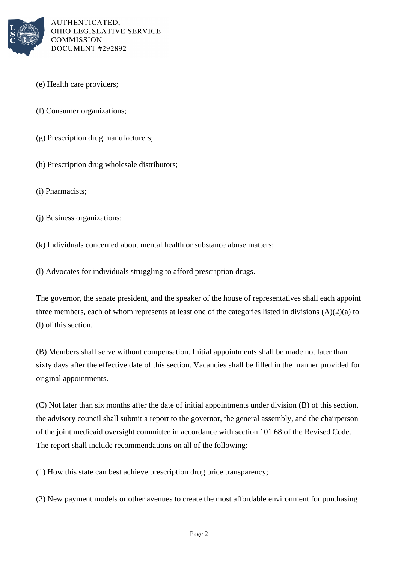

AUTHENTICATED. OHIO LEGISLATIVE SERVICE **COMMISSION** DOCUMENT #292892

- (e) Health care providers;
- (f) Consumer organizations;
- (g) Prescription drug manufacturers;
- (h) Prescription drug wholesale distributors;
- (i) Pharmacists;
- (j) Business organizations;

(k) Individuals concerned about mental health or substance abuse matters;

(l) Advocates for individuals struggling to afford prescription drugs.

The governor, the senate president, and the speaker of the house of representatives shall each appoint three members, each of whom represents at least one of the categories listed in divisions (A)(2)(a) to (l) of this section.

(B) Members shall serve without compensation. Initial appointments shall be made not later than sixty days after the effective date of this section. Vacancies shall be filled in the manner provided for original appointments.

(C) Not later than six months after the date of initial appointments under division (B) of this section, the advisory council shall submit a report to the governor, the general assembly, and the chairperson of the joint medicaid oversight committee in accordance with section 101.68 of the Revised Code. The report shall include recommendations on all of the following:

(1) How this state can best achieve prescription drug price transparency;

(2) New payment models or other avenues to create the most affordable environment for purchasing